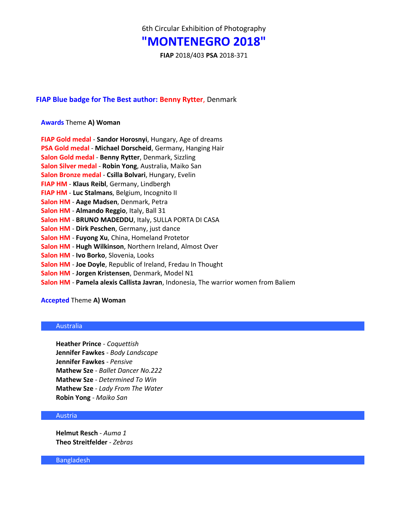# **"MONTENEGRO 2018"**

**FIAP** 2018/403 **PSA** 2018-371

## **FIAP Blue badge for The Best author: Benny Rytter**, Denmark

## **Awards** Theme **A) Woman**

| FIAP Gold medal - Sandor Horosnyi, Hungary, Age of dreams                          |
|------------------------------------------------------------------------------------|
| PSA Gold medal - Michael Dorscheid, Germany, Hanging Hair                          |
| Salon Gold medal - Benny Rytter, Denmark, Sizzling                                 |
| Salon Silver medal - Robin Yong, Australia, Maiko San                              |
| Salon Bronze medal - Csilla Bolvari, Hungary, Evelin                               |
| FIAP HM - Klaus Reibl, Germany, Lindbergh                                          |
| FIAP HM - Luc Stalmans, Belgium, Incognito II                                      |
| Salon HM - Aage Madsen, Denmark, Petra                                             |
| Salon HM - Almando Reggio, Italy, Ball 31                                          |
| Salon HM - BRUNO MADEDDU, Italy, SULLA PORTA DI CASA                               |
| Salon HM - Dirk Peschen, Germany, just dance                                       |
| Salon HM - Fuyong Xu, China, Homeland Protetor                                     |
| Salon HM - Hugh Wilkinson, Northern Ireland, Almost Over                           |
| Salon HM - Ivo Borko, Slovenia, Looks                                              |
| Salon HM - Joe Doyle, Republic of Ireland, Fredau In Thought                       |
| Salon HM - Jorgen Kristensen, Denmark, Model N1                                    |
| Salon HM - Pamela alexis Callista Javran, Indonesia, The warrior women from Baliem |

## **Accepted** Theme **A) Woman**

## Australia

**Heather Prince** - *Coquettish* **Jennifer Fawkes** - *Body Landscape* **Jennifer Fawkes** - *Pensive* **Mathew Sze** - *Ballet Dancer No.222* **Mathew Sze** - *Determined To Win* **Mathew Sze** - *Lady From The Water* **Robin Yong** - *Maiko San*

## Austria

**Helmut Resch** - *Auma 1* **Theo Streitfelder** - *Zebras*

Bangladesh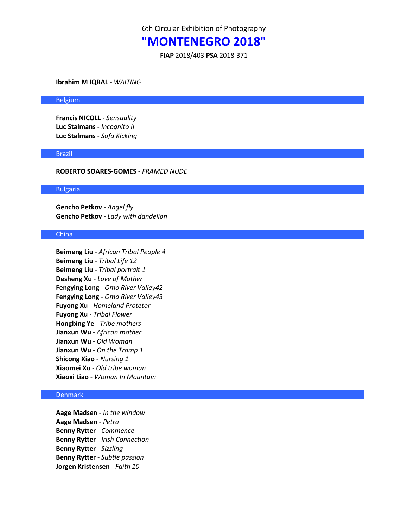# **"MONTENEGRO 2018"**

**FIAP** 2018/403 **PSA** 2018-371

#### **Ibrahim M IQBAL** - *WAITING*

#### Belgium

**Francis NICOLL** - *Sensuality* **Luc Stalmans** - *Incognito II* **Luc Stalmans** - *Sofa Kicking*

## Brazil

#### **ROBERTO SOARES-GOMES** - *FRAMED NUDE*

#### **Bulgaria**

**Gencho Petkov** - *Angel fly* **Gencho Petkov** - *Lady with dandelion*

### China

**Beimeng Liu** - *African Tribal People 4* **Beimeng Liu** - *Tribal Life 12* **Beimeng Liu** - *Tribal portrait 1* **Desheng Xu** - *Love of Mother* **Fengying Long** - *Omo River Valley42* **Fengying Long** - *Omo River Valley43* **Fuyong Xu** - *Homeland Protetor* **Fuyong Xu** - *Tribal Flower* **Hongbing Ye** - *Tribe mothers* **Jianxun Wu** - *African mother* **Jianxun Wu** - *Old Woman* **Jianxun Wu** - *On the Tramp 1* **Shicong Xiao** - *Nursing 1* **Xiaomei Xu** - *Old tribe woman* **Xiaoxi Liao** - *Woman In Mountain*

#### Denmark

**Aage Madsen** - *In the window* **Aage Madsen** - *Petra* **Benny Rytter** - *Commence* **Benny Rytter** - *Irish Connection* **Benny Rytter** - *Sizzling* **Benny Rytter** - *Subtle passion* **Jorgen Kristensen** - *Faith 10*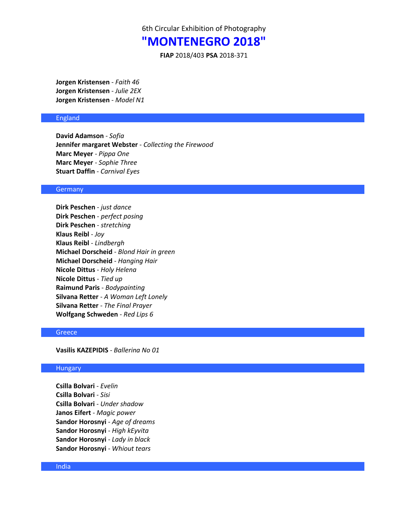# **"MONTENEGRO 2018"**

**FIAP** 2018/403 **PSA** 2018-371

**Jorgen Kristensen** - *Faith 46* **Jorgen Kristensen** - *Julie 2EX* **Jorgen Kristensen** - *Model N1*

### England

**David Adamson** - *Sofia* **Jennifer margaret Webster** - *Collecting the Firewood* **Marc Meyer** - *Pippa One* **Marc Meyer** - *Sophie Three* **Stuart Daffin** - *Carnival Eyes*

#### **Germany**

**Dirk Peschen** - *just dance* **Dirk Peschen** - *perfect posing* **Dirk Peschen** - *stretching* **Klaus Reibl** - *Joy* **Klaus Reibl** - *Lindbergh* **Michael Dorscheid** - *Blond Hair in green* **Michael Dorscheid** - *Hanging Hair* **Nicole Dittus** - *Holy Helena* **Nicole Dittus** - *Tied up* **Raimund Paris** - *Bodypainting* **Silvana Retter** - *A Woman Left Lonely* **Silvana Retter** - *The Final Prayer* **Wolfgang Schweden** - *Red Lips 6*

#### Greece

**Vasilis KAZEPIDIS** - *Ballerina No 01*

## Hungary

**Csilla Bolvari** - *Evelin* **Csilla Bolvari** - *Sisi* **Csilla Bolvari** - *Under shadow* **Janos Eifert** - *Magic power* **Sandor Horosnyi** - *Age of dreams* **Sandor Horosnyi** - *High kEyvita* **Sandor Horosnyi** - *Lady in black* **Sandor Horosnyi** - *Whiout tears*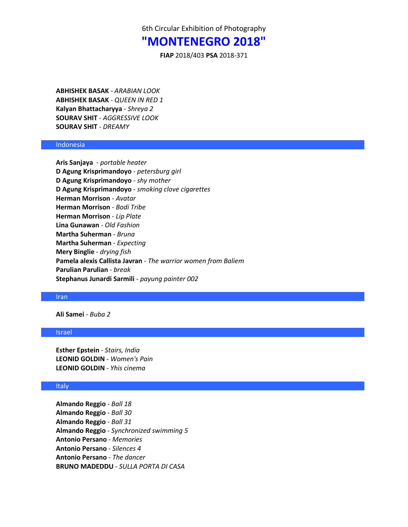## **"MONTENEGRO 2018"**

**FIAP** 2018/403 **PSA** 2018-371

**ABHISHEK BASAK** - *ARABIAN LOOK* **ABHISHEK BASAK** - *QUEEN IN RED 1* **Kalyan Bhattacharyya** - *Shreya 2* **SOURAV SHIT** - *AGGRESSIVE LOOK* **SOURAV SHIT** - *DREAMY*

### Indonesia

**Aris Sanjaya** - *portable heater* **D Agung Krisprimandoyo** - *petersburg girl* **D Agung Krisprimandoyo** - *shy mother* **D Agung Krisprimandoyo** - *smoking clove cigarettes* **Herman Morrison** - *Avatar* **Herman Morrison** - *Bodi Tribe* **Herman Morrison** - *Lip Plate* **Lina Gunawan** - *Old Fashion* **Martha Suherman** - *Bruna* **Martha Suherman** - *Expecting* **Mery Binglie** - *drying fish* **Pamela alexis Callista Javran** - *The warrior women from Baliem* **Parulian Parulian** - *break* **Stephanus Junardi Sarmili** - *payung painter 002*

#### Iran

**Ali Samei** - *Buba 2*

#### Israel

**Esther Epstein** - *Stairs, India* **LEONID GOLDIN** - *Women's Pain* **LEONID GOLDIN** - *Yhis cinema*

#### **Italy**

**Almando Reggio** - *Ball 18* **Almando Reggio** - *Ball 30* **Almando Reggio** - *Ball 31* **Almando Reggio** - *Synchronized swimming 5* **Antonio Persano** - *Memories* **Antonio Persano** - *Silences 4* **Antonio Persano** - *The dancer* **BRUNO MADEDDU** - *SULLA PORTA DI CASA*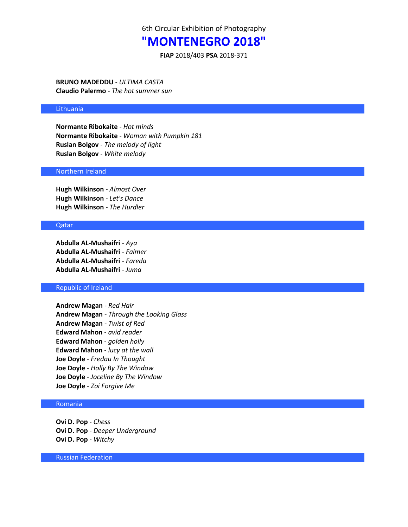# **"MONTENEGRO 2018"**

**FIAP** 2018/403 **PSA** 2018-371

**BRUNO MADEDDU** - *ULTIMA CASTA* **Claudio Palermo** - *The hot summer sun*

#### Lithuania

**Normante Ribokaite** - *Hot minds* **Normante Ribokaite** - *Woman with Pumpkin 181* **Ruslan Bolgov** - *The melody of light* **Ruslan Bolgov** - *White melody*

### Northern Ireland

**Hugh Wilkinson** - *Almost Over* **Hugh Wilkinson** - *Let's Dance* **Hugh Wilkinson** - *The Hurdler*

#### Qatar

**Abdulla AL-Mushaifri** - *Aya* **Abdulla AL-Mushaifri** - *Falmer* **Abdulla AL-Mushaifri** - *Fareda* **Abdulla AL-Mushaifri** - *Juma*

## Republic of Ireland

**Andrew Magan** - *Red Hair* **Andrew Magan** - *Through the Looking Glass* **Andrew Magan** - *Twist of Red* **Edward Mahon** - *avid reader* **Edward Mahon** - *golden holly* **Edward Mahon** - *lucy at the wall* **Joe Doyle** - *Fredau In Thought* **Joe Doyle** - *Holly By The Window* **Joe Doyle** - *Joceline By The Window* **Joe Doyle** - *Zoi Forgive Me*

#### Romania

**Ovi D. Pop** - *Chess* **Ovi D. Pop** - *Deeper Underground* **Ovi D. Pop** - *Witchy*

Russian Federation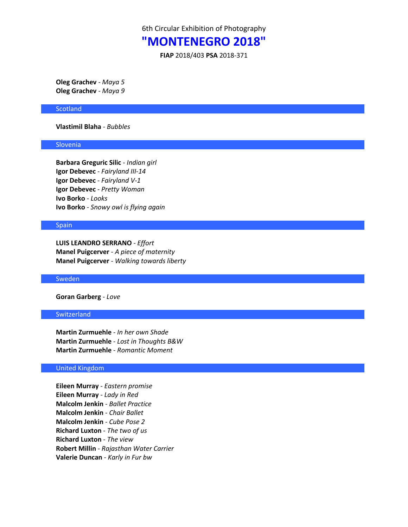## **"MONTENEGRO 2018"**

**FIAP** 2018/403 **PSA** 2018-371

**Oleg Grachev** - *Maya 5* **Oleg Grachev** - *Maya 9*

#### **Scotland**

**Vlastimil Blaha** - *Bubbles*

## Slovenia

**Barbara Greguric Silic** - *Indian girl* **Igor Debevec** - *Fairyland III-14* **Igor Debevec** - *Fairyland V-1* **Igor Debevec** - *Pretty Woman* **Ivo Borko** - *Looks* **Ivo Borko** - *Snowy owl is flying again*

### Spain

**LUIS LEANDRO SERRANO** - *Effort* **Manel Puigcerver** - *A piece of maternity* **Manel Puigcerver** - *Walking towards liberty*

#### Sweden

**Goran Garberg** - *Love*

## **Switzerland**

**Martin Zurmuehle** - *In her own Shade* **Martin Zurmuehle** - *Lost in Thoughts B&W* **Martin Zurmuehle** - *Romantic Moment*

### United Kingdom

**Eileen Murray** - *Eastern promise* **Eileen Murray** - *Lady in Red* **Malcolm Jenkin** - *Ballet Practice* **Malcolm Jenkin** - *Chair Ballet* **Malcolm Jenkin** - *Cube Pose 2* **Richard Luxton** - *The two of us* **Richard Luxton** - *The view* **Robert Millin** - *Rajasthan Water Carrier* **Valerie Duncan** - *Karly in Fur bw*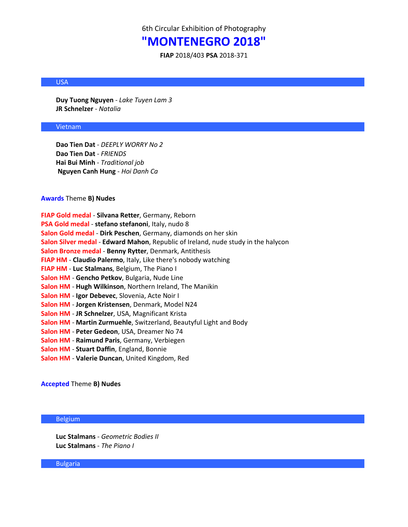# **"MONTENEGRO 2018"**

**FIAP** 2018/403 **PSA** 2018-371

## USA

**Duy Tuong Nguyen** - *Lake Tuyen Lam 3* **JR Schnelzer** - *Natalia*

## Vietnam

**Dao Tien Dat** - *DEEPLY WORRY No 2* **Dao Tien Dat** - *FRIENDS* **Hai Bui Minh** - *Traditional job* **Nguyen Canh Hung** - *Hoi Danh Ca*

**Awards** Theme **B) Nudes**

| FIAP Gold medal - Silvana Retter, Germany, Reborn                                 |
|-----------------------------------------------------------------------------------|
| PSA Gold medal - stefano stefanoni, Italy, nudo 8                                 |
| Salon Gold medal - Dirk Peschen, Germany, diamonds on her skin                    |
| Salon Silver medal - Edward Mahon, Republic of Ireland, nude study in the halycon |
| Salon Bronze medal - Benny Rytter, Denmark, Antithesis                            |
| FIAP HM - Claudio Palermo, Italy, Like there's nobody watching                    |
| FIAP HM - Luc Stalmans, Belgium, The Piano I                                      |
| Salon HM - Gencho Petkov, Bulgaria, Nude Line                                     |
| Salon HM - Hugh Wilkinson, Northern Ireland, The Manikin                          |
| Salon HM - Igor Debevec, Slovenia, Acte Noir I                                    |
| Salon HM - Jorgen Kristensen, Denmark, Model N24                                  |
| Salon HM - JR Schnelzer, USA, Magnificant Krista                                  |
| Salon HM - Martin Zurmuehle, Switzerland, Beautyful Light and Body                |
| Salon HM - Peter Gedeon, USA, Dreamer No 74                                       |
| Salon HM - Raimund Paris, Germany, Verbiegen                                      |
| Salon HM - Stuart Daffin, England, Bonnie                                         |
| Salon HM - Valerie Duncan, United Kingdom, Red                                    |

## **Accepted** Theme **B) Nudes**

## Belgium

**Luc Stalmans** - *Geometric Bodies II* **Luc Stalmans** - *The Piano I*

Bulgaria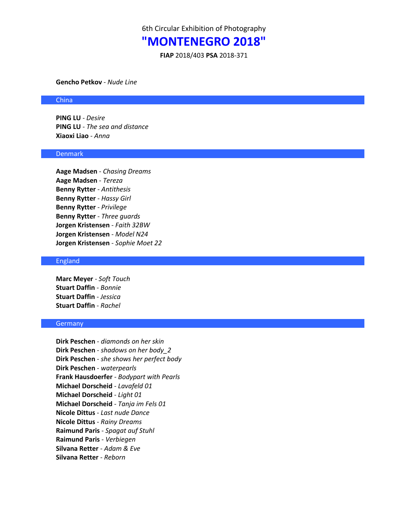# **"MONTENEGRO 2018"**

**FIAP** 2018/403 **PSA** 2018-371

#### **Gencho Petkov** - *Nude Line*

#### China

**PING LU** - *Desire* **PING LU** - *The sea and distance* **Xiaoxi Liao** - *Anna*

## Denmark

**Aage Madsen** - *Chasing Dreams* **Aage Madsen** - *Tereza* **Benny Rytter** - *Antithesis* **Benny Rytter** - *Hassy Girl* **Benny Rytter** - *Privilege* **Benny Rytter** - *Three guards* **Jorgen Kristensen** - *Faith 32BW* **Jorgen Kristensen** - *Model N24* **Jorgen Kristensen** - *Sophie Moet 22*

### England

**Marc Meyer** - *Soft Touch* **Stuart Daffin** - *Bonnie* **Stuart Daffin** - *Jessica* **Stuart Daffin** - *Rachel*

## **Germany**

**Dirk Peschen** - *diamonds on her skin* **Dirk Peschen** - *shadows on her body\_2* **Dirk Peschen** - *she shows her perfect body* **Dirk Peschen** - *waterpearls* **Frank Hausdoerfer** - *Bodypart with Pearls* **Michael Dorscheid** - *Lavafeld 01* **Michael Dorscheid** - *Light 01* **Michael Dorscheid** - *Tanja im Fels 01* **Nicole Dittus** - *Last nude Dance* **Nicole Dittus** - *Rainy Dreams* **Raimund Paris** - *Spagat auf Stuhl* **Raimund Paris** - *Verbiegen* **Silvana Retter** - *Adam & Eve* **Silvana Retter** - *Reborn*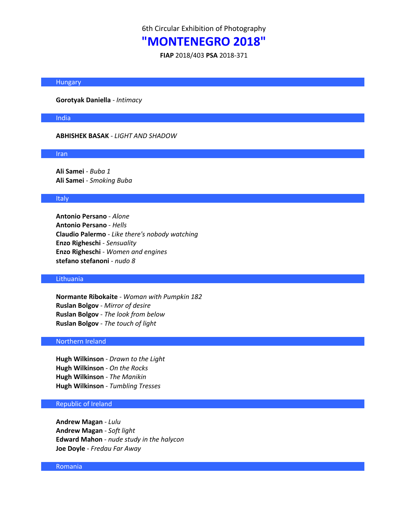# **"MONTENEGRO 2018"**

**FIAP** 2018/403 **PSA** 2018-371

#### **Hungary**

**Gorotyak Daniella** - *Intimacy*

#### India

#### **ABHISHEK BASAK** - *LIGHT AND SHADOW*

#### Iran

**Ali Samei** - *Buba 1* **Ali Samei** - *Smoking Buba*

#### **Italy**

**Antonio Persano** - *Alone* **Antonio Persano** - *Hells* **Claudio Palermo** - *Like there's nobody watching* **Enzo Righeschi** - *Sensuality* **Enzo Righeschi** - *Women and engines* **stefano stefanoni** - *nudo 8*

## Lithuania

**Normante Ribokaite** - *Woman with Pumpkin 182* **Ruslan Bolgov** - *Mirror of desire* **Ruslan Bolgov** - *The look from below* **Ruslan Bolgov** - *The touch of light*

## Northern Ireland

**Hugh Wilkinson** - *Drawn to the Light* **Hugh Wilkinson** - *On the Rocks* **Hugh Wilkinson** - *The Manikin* **Hugh Wilkinson** - *Tumbling Tresses*

## Republic of Ireland

**Andrew Magan** - *Lulu* **Andrew Magan** - *Soft light* **Edward Mahon** - *nude study in the halycon* **Joe Doyle** - *Fredau Far Away*

Romania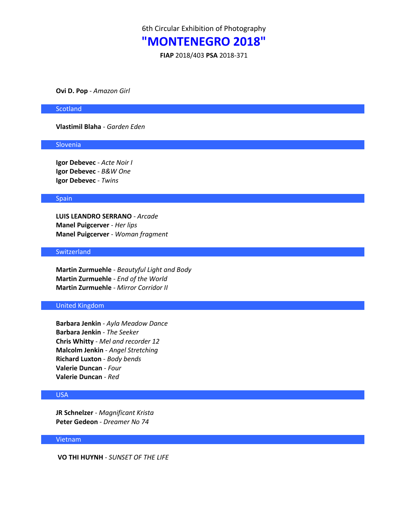## **"MONTENEGRO 2018"**

**FIAP** 2018/403 **PSA** 2018-371

**Ovi D. Pop** - *Amazon Girl*

#### **Scotland**

**Vlastimil Blaha** - *Garden Eden*

## Slovenia

**Igor Debevec** - *Acte Noir I* **Igor Debevec** - *B&W One* **Igor Debevec** - *Twins*

#### Spain

**LUIS LEANDRO SERRANO** - *Arcade* **Manel Puigcerver** - *Her lips* **Manel Puigcerver** - *Woman fragment*

## **Switzerland**

**Martin Zurmuehle** - *Beautyful Light and Body* **Martin Zurmuehle** - *End of the World* **Martin Zurmuehle** - *Mirror Corridor II*

### United Kingdom

**Barbara Jenkin** - *Ayla Meadow Dance* **Barbara Jenkin** - *The Seeker* **Chris Whitty** - *Mel and recorder 12* **Malcolm Jenkin** - *Angel Stretching* **Richard Luxton** - *Body bends* **Valerie Duncan** - *Four* **Valerie Duncan** - *Red*

## USA

**JR Schnelzer** - *Magnificant Krista* **Peter Gedeon** - *Dreamer No 74*

## Vietnam

**VO THI HUYNH** - *SUNSET OF THE LIFE*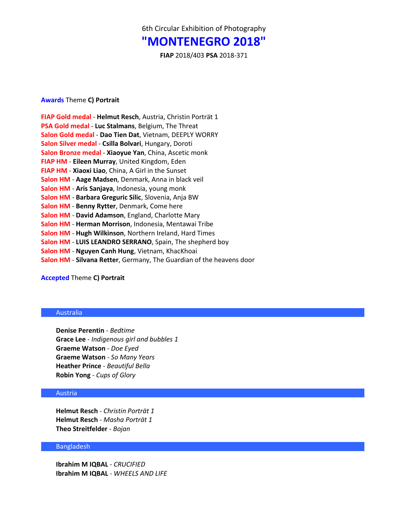# **"MONTENEGRO 2018"**

**FIAP** 2018/403 **PSA** 2018-371

## **Awards** Theme **C) Portrait**

| FIAP Gold medal - Helmut Resch, Austria, Christin Porträt 1          |
|----------------------------------------------------------------------|
| PSA Gold medal - Luc Stalmans, Belgium, The Threat                   |
| Salon Gold medal - Dao Tien Dat, Vietnam, DEEPLY WORRY               |
| Salon Silver medal - Csilla Bolvari, Hungary, Doroti                 |
| Salon Bronze medal - Xiaoyue Yan, China, Ascetic monk                |
| FIAP HM - Eileen Murray, United Kingdom, Eden                        |
| FIAP HM - Xiaoxi Liao, China, A Girl in the Sunset                   |
| Salon HM - Aage Madsen, Denmark, Anna in black veil                  |
| Salon HM - Aris Sanjaya, Indonesia, young monk                       |
| Salon HM - Barbara Greguric Silic, Slovenia, Anja BW                 |
| Salon HM - Benny Rytter, Denmark, Come here                          |
| Salon HM - David Adamson, England, Charlotte Mary                    |
| Salon HM - Herman Morrison, Indonesia, Mentawai Tribe                |
| Salon HM - Hugh Wilkinson, Northern Ireland, Hard Times              |
| Salon HM - LUIS LEANDRO SERRANO, Spain, The shepherd boy             |
| Salon HM - Nguyen Canh Hung, Vietnam, KhacKhoai                      |
| Salon HM - Silvana Retter, Germany, The Guardian of the heavens door |

**Accepted** Theme **C) Portrait**

## Australia

**Denise Perentin** - *Bedtime* **Grace Lee** - *Indigenous girl and bubbles 1* **Graeme Watson** - *Doe Eyed* **Graeme Watson** - *So Many Years* **Heather Prince** - *Beautiful Bella* **Robin Yong** - *Cups of Glory*

## Austria

**Helmut Resch** - *Christin Porträt 1* **Helmut Resch** - *Masha Porträt 1* **Theo Streitfelder** - *Bojan*

## Bangladesh

**Ibrahim M IQBAL** - *CRUCIFIED* **Ibrahim M IQBAL** - *WHEELS AND LIFE*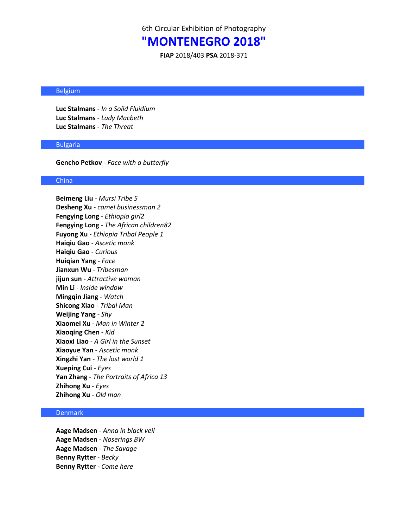# **"MONTENEGRO 2018"**

**FIAP** 2018/403 **PSA** 2018-371

#### Belgium

**Luc Stalmans** - *In a Solid Fluidium* **Luc Stalmans** - *Lady Macbeth* **Luc Stalmans** - *The Threat*

#### Bulgaria

**Gencho Petkov** - *Face with a butterfly*

#### China

**Beimeng Liu** - *Mursi Tribe 5* **Desheng Xu** - *camel businessman 2* **Fengying Long** - *Ethiopia girl2* **Fengying Long** - *The African children82* **Fuyong Xu** - *Ethiopia Tribal People 1* **Haiqiu Gao** - *Ascetic monk* **Haiqiu Gao** - *Curious* **Huiqian Yang** - *Face* **Jianxun Wu** - *Tribesman* **jijun sun** - *Attractive woman* **Min Li** - *Inside window* **Mingqin Jiang** - *Watch* **Shicong Xiao** - *Tribal Man* **Weijing Yang** - *Shy* **Xiaomei Xu** - *Man in Winter 2* **Xiaoqing Chen** - *Kid* **Xiaoxi Liao** - *A Girl in the Sunset* **Xiaoyue Yan** - *Ascetic monk* **Xingzhi Yan** - *The lost world 1* **Xueping Cui** - *Eyes* **Yan Zhang** - *The Portraits of Africa 13* **Zhihong Xu** - *Eyes* **Zhihong Xu** - *Old man*

### Denmark

**Aage Madsen** - *Anna in black veil* **Aage Madsen** - *Noserings BW* **Aage Madsen** - *The Savage* **Benny Rytter** - *Becky* **Benny Rytter** - *Come here*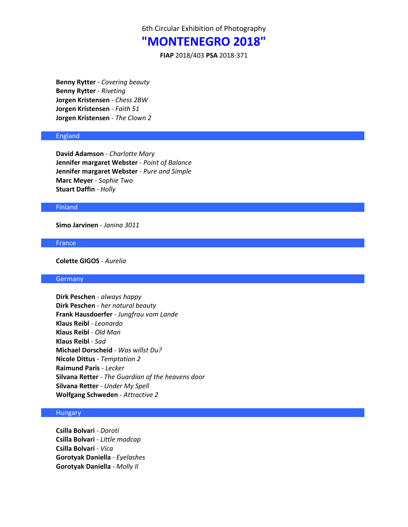## **"MONTENEGRO 2018"**

**FIAP** 2018/403 **PSA** 2018-371

**Benny Rytter** - *Covering beauty* **Benny Rytter** - *Riveting* **Jorgen Kristensen** - *Chess 2BW* **Jorgen Kristensen** - *Faith 51* **Jorgen Kristensen** - *The Clown 2*

### England

**David Adamson** - *Charlotte Mary* **Jennifer margaret Webster** - *Point of Balance* **Jennifer margaret Webster** - *Pure and Simple* **Marc Meyer** - *Sophie Two* **Stuart Daffin** - *Holly*

#### Finland

**Simo Jarvinen** - *Janina 3011*

#### France

**Colette GIGOS** - *Aurelia*

#### **Germany**

**Dirk Peschen** - *always happy* **Dirk Peschen** - *her natural beauty* **Frank Hausdoerfer** - *Jungfrau vom Lande* **Klaus Reibl** - *Leonardo* **Klaus Reibl** - *Old Man* **Klaus Reibl** - *Sad* **Michael Dorscheid** - *Was willst Du?* **Nicole Dittus** - *Temptation 2* **Raimund Paris** - *Lecker* **Silvana Retter** - *The Guardian of the heavens door* **Silvana Retter** - *Under My Spell* **Wolfgang Schweden** - *Attractive 2*

## **Hungary**

**Csilla Bolvari** - *Doroti* **Csilla Bolvari** - *Little madcap* **Csilla Bolvari** - *Vica* **Gorotyak Daniella** - *Eyelashes* **Gorotyak Daniella** - *Molly II*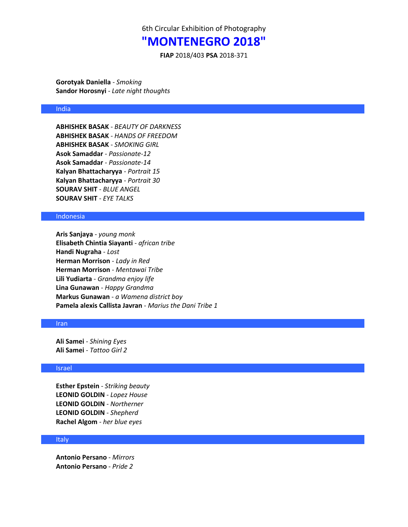## **"MONTENEGRO 2018"**

**FIAP** 2018/403 **PSA** 2018-371

**Gorotyak Daniella** - *Smoking* **Sandor Horosnyi** - *Late night thoughts*

#### India

**ABHISHEK BASAK** - *BEAUTY OF DARKNESS* **ABHISHEK BASAK** - *HANDS OF FREEDOM* **ABHISHEK BASAK** - *SMOKING GIRL* **Asok Samaddar** - *Passionate-12* **Asok Samaddar** - *Passionate-14* **Kalyan Bhattacharyya** - *Portrait 15* **Kalyan Bhattacharyya** - *Portrait 30* **SOURAV SHIT** - *BLUE ANGEL* **SOURAV SHIT** - *EYE TALKS*

### Indonesia

**Aris Sanjaya** - *young monk* **Elisabeth Chintia Siayanti** - *african tribe* **Handi Nugraha** - *Lost* **Herman Morrison** - *Lady in Red* **Herman Morrison** - *Mentawai Tribe* **Lili Yudiarta** - *Grandma enjoy life* **Lina Gunawan** - *Happy Grandma* **Markus Gunawan** - *a Wamena district boy* **Pamela alexis Callista Javran** - *Marius the Dani Tribe 1*

### Iran

**Ali Samei** - *Shining Eyes* **Ali Samei** - *Tattoo Girl 2*

#### Israel

**Esther Epstein** - *Striking beauty* **LEONID GOLDIN** - *Lopez House* **LEONID GOLDIN** - *Northerner* **LEONID GOLDIN** - *Shepherd* **Rachel Algom** - *her blue eyes*

#### Italy

**Antonio Persano** - *Mirrors* **Antonio Persano** - *Pride 2*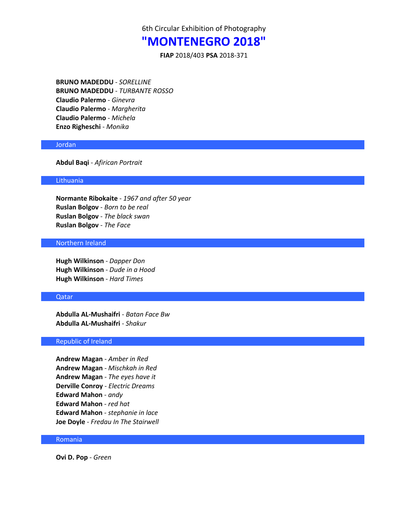## **"MONTENEGRO 2018"**

**FIAP** 2018/403 **PSA** 2018-371

**BRUNO MADEDDU** - *SORELLINE* **BRUNO MADEDDU** - *TURBANTE ROSSO* **Claudio Palermo** - *Ginevra* **Claudio Palermo** - *Margherita* **Claudio Palermo** - *Michela* **Enzo Righeschi** - *Monika*

#### Jordan

**Abdul Baqi** - *Afirican Portrait*

#### Lithuania

**Normante Ribokaite** - *1967 and after 50 year* **Ruslan Bolgov** - *Born to be real* **Ruslan Bolgov** - *The black swan* **Ruslan Bolgov** - *The Face*

## Northern Ireland

**Hugh Wilkinson** - *Dapper Don* **Hugh Wilkinson** - *Dude in a Hood* **Hugh Wilkinson** - *Hard Times*

#### Qatar

**Abdulla AL-Mushaifri** - *Batan Face Bw* **Abdulla AL-Mushaifri** - *Shakur*

## Republic of Ireland

**Andrew Magan** - *Amber in Red* **Andrew Magan** - *Mischkah in Red* **Andrew Magan** - *The eyes have it* **Derville Conroy** - *Electric Dreams* **Edward Mahon** - *andy* **Edward Mahon** - *red hat* **Edward Mahon** - *stephanie in lace* **Joe Doyle** - *Fredau In The Stairwell*

## Romania

**Ovi D. Pop** - *Green*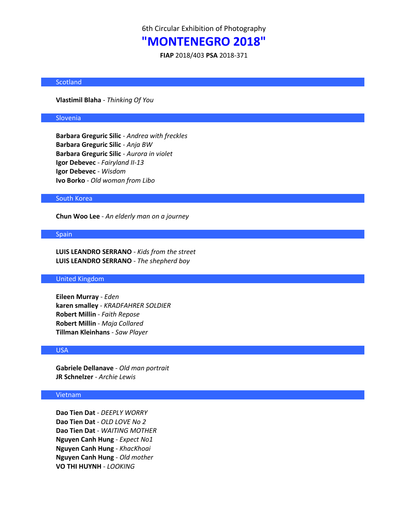# **"MONTENEGRO 2018"**

**FIAP** 2018/403 **PSA** 2018-371

#### **Scotland**

**Vlastimil Blaha** - *Thinking Of You*

## Slovenia

**Barbara Greguric Silic** - *Andrea with freckles* **Barbara Greguric Silic** - *Anja BW* **Barbara Greguric Silic** - *Aurora in violet* **Igor Debevec** - *Fairyland II-13* **Igor Debevec** - *Wisdom* **Ivo Borko** - *Old woman from Libo*

#### South Korea

**Chun Woo Lee** - *An elderly man on a journey*

#### Spain

**LUIS LEANDRO SERRANO** - *Kids from the street* **LUIS LEANDRO SERRANO** - *The shepherd boy*

### United Kingdom

**Eileen Murray** - *Eden* **karen smalley** - *KRADFAHRER SOLDIER* **Robert Millin** - *Faith Repose* **Robert Millin** - *Maja Collared* **Tillman Kleinhans** - *Saw Player*

### USA

**Gabriele Dellanave** - *Old man portrait* **JR Schnelzer** - *Archie Lewis*

### Vietnam

**Dao Tien Dat** - *DEEPLY WORRY* **Dao Tien Dat** - *OLD LOVE No 2* **Dao Tien Dat** - *WAITING MOTHER* **Nguyen Canh Hung** - *Expect No1* **Nguyen Canh Hung** - *KhacKhoai* **Nguyen Canh Hung** - *Old mother* **VO THI HUYNH** - *LOOKING*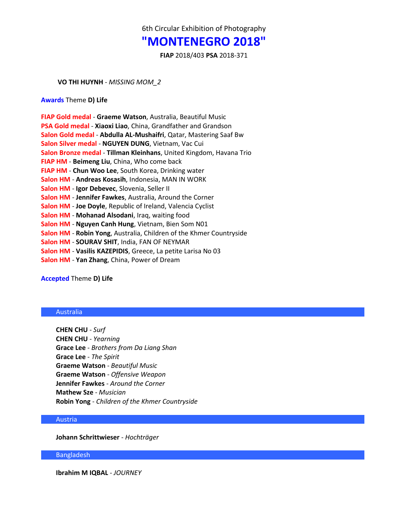# **"MONTENEGRO 2018"**

**FIAP** 2018/403 **PSA** 2018-371

**VO THI HUYNH** - *MISSING MOM\_2*

**Awards** Theme **D) Life**

| FIAP Gold medal - Graeme Watson, Australia, Beautiful Music         |
|---------------------------------------------------------------------|
| PSA Gold medal - Xiaoxi Liao, China, Grandfather and Grandson       |
| Salon Gold medal - Abdulla AL-Mushaifri, Qatar, Mastering Saaf Bw   |
| Salon Silver medal - NGUYEN DUNG, Vietnam, Vac Cui                  |
| Salon Bronze medal - Tillman Kleinhans, United Kingdom, Havana Trio |
| FIAP HM - Beimeng Liu, China, Who come back                         |
| FIAP HM - Chun Woo Lee, South Korea, Drinking water                 |
| Salon HM - Andreas Kosasih, Indonesia, MAN IN WORK                  |
| Salon HM - Igor Debevec, Slovenia, Seller II                        |
| Salon HM - Jennifer Fawkes, Australia, Around the Corner            |
| Salon HM - Joe Doyle, Republic of Ireland, Valencia Cyclist         |
| Salon HM - Mohanad Alsodani, Iraq, waiting food                     |
| Salon HM - Nguyen Canh Hung, Vietnam, Bien Som N01                  |
| Salon HM - Robin Yong, Australia, Children of the Khmer Countryside |
| Salon HM - SOURAV SHIT, India, FAN OF NEYMAR                        |
| Salon HM - Vasilis KAZEPIDIS, Greece, La petite Larisa No 03        |
| Salon HM - Yan Zhang, China, Power of Dream                         |

**Accepted** Theme **D) Life**

## Australia

**CHEN CHU** - *Surf* **CHEN CHU** - *Yearning* **Grace Lee** - *Brothers from Da Liang Shan* **Grace Lee** - *The Spirit* **Graeme Watson** - *Beautiful Music* **Graeme Watson** - *Offensive Weapon* **Jennifer Fawkes** - *Around the Corner* **Mathew Sze** - *Musician* **Robin Yong** - *Children of the Khmer Countryside*

### Austria

**Johann Schrittwieser** - *Hochträger*

## Bangladesh

**Ibrahim M IQBAL** - *JOURNEY*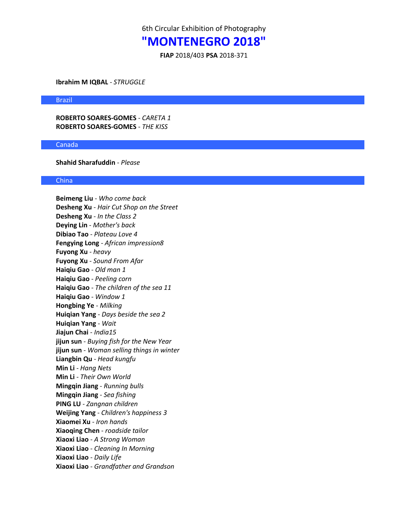## **"MONTENEGRO 2018"**

**FIAP** 2018/403 **PSA** 2018-371

**Ibrahim M IQBAL** - *STRUGGLE*

Brazil

**ROBERTO SOARES-GOMES** - *CARETA 1* **ROBERTO SOARES-GOMES** - *THE KISS*

#### Canada

**Shahid Sharafuddin** - *Please*

#### China

**Beimeng Liu** - *Who come back* **Desheng Xu** - *Hair Cut Shop on the Street* **Desheng Xu** - *In the Class 2* **Deying Lin** - *Mother's back* **Dibiao Tao** - *Plateau Love 4* **Fengying Long** - *African impression8* **Fuyong Xu** - *heavy* **Fuyong Xu** - *Sound From Afar* **Haiqiu Gao** - *Old man 1* **Haiqiu Gao** - *Peeling corn* **Haiqiu Gao** - *The children of the sea 11* **Haiqiu Gao** - *Window 1* **Hongbing Ye** - *Milking* **Huiqian Yang** - *Days beside the sea 2* **Huiqian Yang** - *Wait* **Jiajun Chai** - *India15* **jijun sun** - *Buying fish for the New Year* **jijun sun** - *Woman selling things in winter* **Liangbin Qu** - *Head kungfu* **Min Li** - *Hang Nets* **Min Li** - *Their Own World* **Mingqin Jiang** - *Running bulls* **Mingqin Jiang** - *Sea fishing* **PING LU** - *Zangnan children* **Weijing Yang** - *Children's happiness 3* **Xiaomei Xu** - *Iron hands* **Xiaoqing Chen** - *roadside tailor* **Xiaoxi Liao** - *A Strong Woman* **Xiaoxi Liao** - *Cleaning In Morning* **Xiaoxi Liao** - *Daily Life* **Xiaoxi Liao** - *Grandfather and Grandson*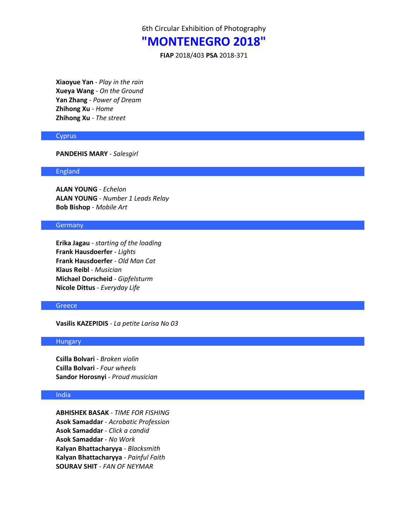## **"MONTENEGRO 2018"**

**FIAP** 2018/403 **PSA** 2018-371

**Xiaoyue Yan** - *Play in the rain* **Xueya Wang** - *On the Ground* **Yan Zhang** - *Power of Dream* **Zhihong Xu** - *Home* **Zhihong Xu** - *The street*

### **Cyprus**

### **PANDEHIS MARY** - *Salesgirl*

#### England

**ALAN YOUNG** - *Echelon* **ALAN YOUNG** - *Number 1 Leads Relay* **Bob Bishop** - *Mobile Art*

## **Germany**

**Erika Jagau** - *starting of the loading* **Frank Hausdoerfer** - *Lights* **Frank Hausdoerfer** - *Old Man Cat* **Klaus Reibl** - *Musician* **Michael Dorscheid** - *Gipfelsturm* **Nicole Dittus** - *Everyday Life*

#### **Greece**

**Vasilis KAZEPIDIS** - *La petite Larisa No 03*

### **Hungary**

**Csilla Bolvari** - *Broken violin* **Csilla Bolvari** - *Four wheels* **Sandor Horosnyi** - *Proud musician*

### India

**ABHISHEK BASAK** - *TIME FOR FISHING* **Asok Samaddar** - *Acrobatic Profession* **Asok Samaddar** - *Click a candid* **Asok Samaddar** - *No Work* **Kalyan Bhattacharyya** - *Blacksmith* **Kalyan Bhattacharyya** - *Painful Faith* **SOURAV SHIT** - *FAN OF NEYMAR*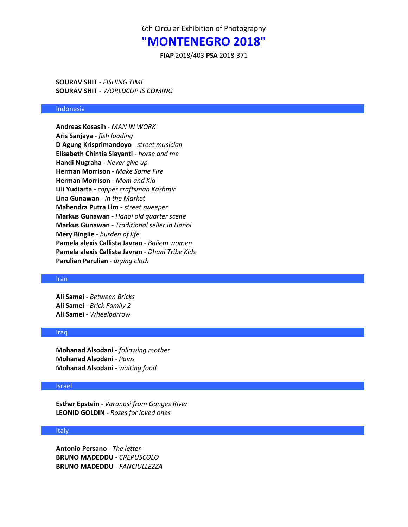# **"MONTENEGRO 2018"**

**FIAP** 2018/403 **PSA** 2018-371

**SOURAV SHIT** - *FISHING TIME* **SOURAV SHIT** - *WORLDCUP IS COMING*

#### Indonesia

**Andreas Kosasih** - *MAN IN WORK* **Aris Sanjaya** - *fish loading* **D Agung Krisprimandoyo** - *street musician* **Elisabeth Chintia Siayanti** - *horse and me* **Handi Nugraha** - *Never give up* **Herman Morrison** - *Make Some Fire* **Herman Morrison** - *Mom and Kid* **Lili Yudiarta** - *copper craftsman Kashmir* **Lina Gunawan** - *In the Market* **Mahendra Putra Lim** - *street sweeper* **Markus Gunawan** - *Hanoi old quarter scene* **Markus Gunawan** - *Traditional seller in Hanoi* **Mery Binglie** - *burden of life* **Pamela alexis Callista Javran** - *Baliem women* **Pamela alexis Callista Javran** - *Dhani Tribe Kids* **Parulian Parulian** - *drying cloth*

#### **Iran**

**Ali Samei** - *Between Bricks* **Ali Samei** - *Brick Family 2* **Ali Samei** - *Wheelbarrow*

#### **Iraq**

**Mohanad Alsodani** - *following mother* **Mohanad Alsodani** - *Pains* **Mohanad Alsodani** - *waiting food*

## Israel

**Esther Epstein** - *Varanasi from Ganges River* **LEONID GOLDIN** - *Roses for loved ones*

#### **Italy**

**Antonio Persano** - *The letter* **BRUNO MADEDDU** - *CREPUSCOLO* **BRUNO MADEDDU** - *FANCIULLEZZA*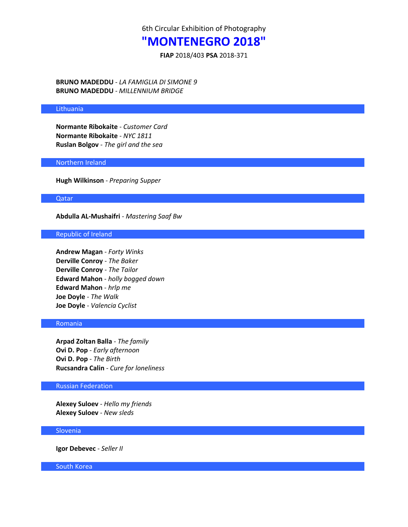## **"MONTENEGRO 2018"**

**FIAP** 2018/403 **PSA** 2018-371

**BRUNO MADEDDU** - *LA FAMIGLIA DI SIMONE 9* **BRUNO MADEDDU** - *MILLENNIUM BRIDGE*

#### Lithuania

**Normante Ribokaite** - *Customer Card* **Normante Ribokaite** - *NYC 1811* **Ruslan Bolgov** - *The girl and the sea*

## Northern Ireland

**Hugh Wilkinson** - *Preparing Supper*

#### Qatar

**Abdulla AL-Mushaifri** - *Mastering Saaf Bw*

### Republic of Ireland

**Andrew Magan** - *Forty Winks* **Derville Conroy** - *The Baker* **Derville Conroy** - *The Tailor* **Edward Mahon** - *holly bogged down* **Edward Mahon** - *hrlp me* **Joe Doyle** - *The Walk* **Joe Doyle** - *Valencia Cyclist*

## Romania

**Arpad Zoltan Balla** - *The family* **Ovi D. Pop** - *Early afternoon* **Ovi D. Pop** - *The Birth* **Rucsandra Calin** - *Cure for loneliness*

### Russian Federation

**Alexey Suloev** - *Hello my friends* **Alexey Suloev** - *New sleds*

#### Slovenia

**Igor Debevec** - *Seller II*

South Korea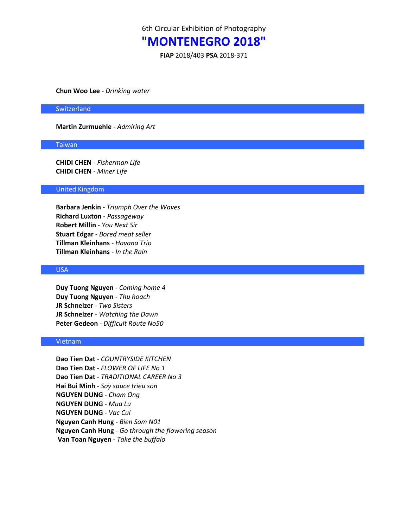## **"MONTENEGRO 2018"**

**FIAP** 2018/403 **PSA** 2018-371

**Chun Woo Lee** - *Drinking water*

**Switzerland** 

**Martin Zurmuehle** - *Admiring Art*

## Taiwan

**CHIDI CHEN** - *Fisherman Life* **CHIDI CHEN** - *Miner Life*

### United Kingdom

**Barbara Jenkin** - *Triumph Over the Waves* **Richard Luxton** - *Passageway* **Robert Millin** - *You Next Sir* **Stuart Edgar** - *Bored meat seller* **Tillman Kleinhans** - *Havana Trio* **Tillman Kleinhans** - *In the Rain*

## USA

**Duy Tuong Nguyen** - *Coming home 4* **Duy Tuong Nguyen** - *Thu hoach* **JR Schnelzer** - *Two Sisters* **JR Schnelzer** - *Watching the Dawn* **Peter Gedeon** - *Difficult Route No50*

## Vietnam

**Dao Tien Dat** - *COUNTRYSIDE KITCHEN* **Dao Tien Dat** - *FLOWER OF LIFE No 1* **Dao Tien Dat** - *TRADITIONAL CAREER No 3* **Hai Bui Minh** - *Soy sauce trieu son* **NGUYEN DUNG** - *Cham Ong* **NGUYEN DUNG** - *Mua Lu* **NGUYEN DUNG** - *Vac Cui* **Nguyen Canh Hung** - *Bien Som N01* **Nguyen Canh Hung** - *Go through the flowering season* **Van Toan Nguyen** - *Take the buffalo*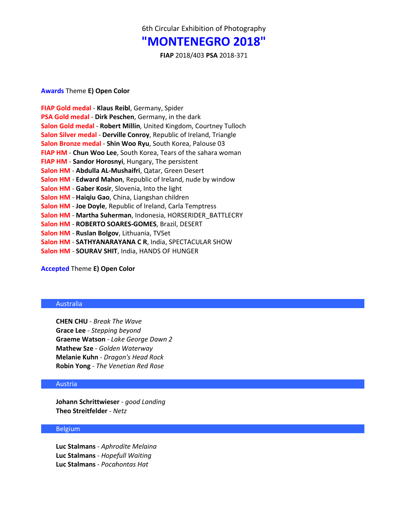# **"MONTENEGRO 2018"**

**FIAP** 2018/403 **PSA** 2018-371

**Awards** Theme **E) Open Color**

| FIAP Gold medal - Klaus Reibl, Germany, Spider                      |
|---------------------------------------------------------------------|
| PSA Gold medal - Dirk Peschen, Germany, in the dark                 |
| Salon Gold medal - Robert Millin, United Kingdom, Courtney Tulloch  |
| Salon Silver medal - Derville Conroy, Republic of Ireland, Triangle |
| Salon Bronze medal - Shin Woo Ryu, South Korea, Palouse 03          |
| FIAP HM - Chun Woo Lee, South Korea, Tears of the sahara woman      |
| FIAP HM - Sandor Horosnyi, Hungary, The persistent                  |
| Salon HM - Abdulla AL-Mushaifri, Qatar, Green Desert                |
| Salon HM - Edward Mahon, Republic of Ireland, nude by window        |
| Salon HM - Gaber Kosir, Slovenia, Into the light                    |
| Salon HM - Haiqiu Gao, China, Liangshan children                    |
| Salon HM - Joe Doyle, Republic of Ireland, Carla Temptress          |
| Salon HM - Martha Suherman, Indonesia, HORSERIDER BATTLECRY         |
| Salon HM - ROBERTO SOARES-GOMES, Brazil, DESERT                     |
| Salon HM - Ruslan Bolgov, Lithuania, TVSet                          |
| Salon HM - SATHYANARAYANA C R, India, SPECTACULAR SHOW              |
| Salon HM - SOURAV SHIT, India, HANDS OF HUNGER                      |

**Accepted** Theme **E) Open Color**

## Australia

**CHEN CHU** - *Break The Wave* **Grace Lee** - *Stepping beyond* **Graeme Watson** - *Lake George Dawn 2* **Mathew Sze** - *Golden Waterway* **Melanie Kuhn** - *Dragon's Head Rock* **Robin Yong** - *The Venetian Red Rose*

## Austria

**Johann Schrittwieser** - *good Landing* **Theo Streitfelder** - *Netz*

## Belgium

**Luc Stalmans** - *Aphrodite Melaina* **Luc Stalmans** - *Hopefull Waiting* **Luc Stalmans** - *Pocahontas Hat*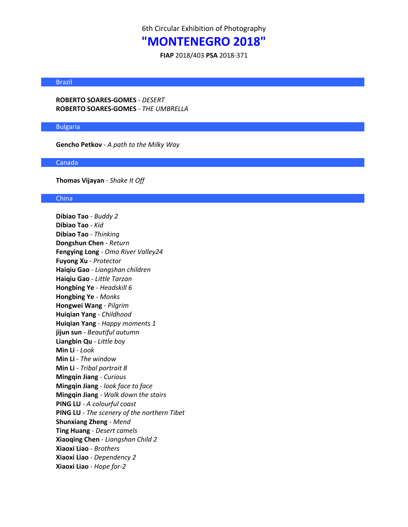# **"MONTENEGRO 2018"**

**FIAP** 2018/403 **PSA** 2018-371

#### Brazil

**ROBERTO SOARES-GOMES** - *DESERT* **ROBERTO SOARES-GOMES** - *THE UMBRELLA*

#### Bulgaria

**Gencho Petkov** - *A path to the Milky Way*

#### Canada

**Thomas Vijayan** - *Shake It Off*

#### China

**Dibiao Tao** - *Buddy 2* **Dibiao Tao** - *Kid* **Dibiao Tao** - *Thinking* **Dongshun Chen** - *Return* **Fengying Long** - *Omo River Valley24* **Fuyong Xu** - *Protector* **Haiqiu Gao** - *Liangshan children* **Haiqiu Gao** - *Little Tarzan* **Hongbing Ye** - *Headskill 6* **Hongbing Ye** - *Monks* **Hongwei Wang** - *Pilgrim* **Huiqian Yang** - *Childhood* **Huiqian Yang** - *Happy moments 1* **jijun sun** - *Beautiful autumn* **Liangbin Qu** - *Little boy* **Min Li** - *Look* **Min Li** - *The window* **Min Li** - *Tribal portrait 8* **Mingqin Jiang** - *Curious* **Mingqin Jiang** - *look face to face* **Mingqin Jiang** - *Walk down the stairs* **PING LU** - *A colourful coast* **PING LU** - *The scenery of the northern Tibet* **Shunxiang Zheng** - *Mend* **Ting Huang** - *Desert camels* **Xiaoqing Chen** - *Liangshan Child 2* **Xiaoxi Liao** - *Brothers* **Xiaoxi Liao** - *Dependency 2* **Xiaoxi Liao** - *Hope for-2*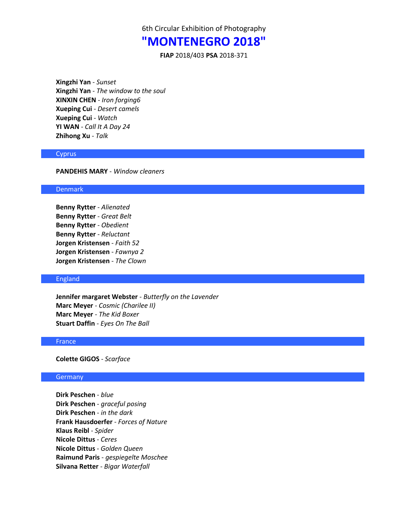# **"MONTENEGRO 2018"**

**FIAP** 2018/403 **PSA** 2018-371

**Xingzhi Yan** - *Sunset* **Xingzhi Yan** - *The window to the soul* **XINXIN CHEN** - *Iron forging6* **Xueping Cui** - *Desert camels* **Xueping Cui** - *Watch* **YI WAN** - *Call It A Day 24* **Zhihong Xu** - *Talk*

## **Cyprus**

**PANDEHIS MARY** - *Window cleaners*

#### Denmark

**Benny Rytter** - *Alienated* **Benny Rytter** - *Great Belt* **Benny Rytter** - *Obedient* **Benny Rytter** - *Reluctant* **Jorgen Kristensen** - *Faith 52* **Jorgen Kristensen** - *Fawnya 2* **Jorgen Kristensen** - *The Clown*

#### England

**Jennifer margaret Webster** - *Butterfly on the Lavender* **Marc Meyer** - *Cosmic (Charilee II)* **Marc Meyer** - *The Kid Boxer* **Stuart Daffin** - *Eyes On The Ball*

#### France

## **Colette GIGOS** - *Scarface*

#### **Germany**

**Dirk Peschen** - *blue* **Dirk Peschen** - *graceful posing* **Dirk Peschen** - *in the dark* **Frank Hausdoerfer** - *Forces of Nature* **Klaus Reibl** - *Spider* **Nicole Dittus** - *Ceres* **Nicole Dittus** - *Golden Queen* **Raimund Paris** - *gespiegelte Moschee* **Silvana Retter** - *Bigar Waterfall*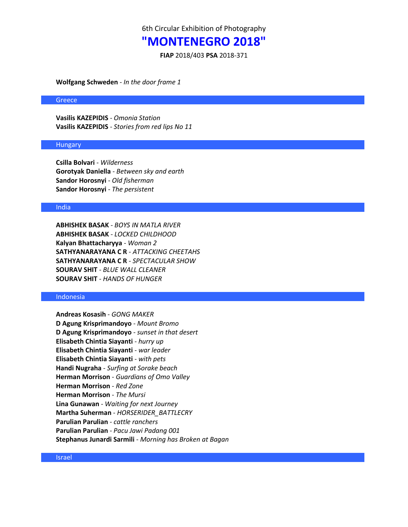## **"MONTENEGRO 2018"**

**FIAP** 2018/403 **PSA** 2018-371

**Wolfgang Schweden** - *In the door frame 1*

#### **Greece**

**Vasilis KAZEPIDIS** - *Omonia Station* **Vasilis KAZEPIDIS** - *Stories from red lips No 11*

#### **Hungary**

**Csilla Bolvari** - *Wilderness* **Gorotyak Daniella** - *Between sky and earth* **Sandor Horosnyi** - *Old fisherman* **Sandor Horosnyi** - *The persistent*

#### India

**ABHISHEK BASAK** - *BOYS IN MATLA RIVER* **ABHISHEK BASAK** - *LOCKED CHILDHOOD* **Kalyan Bhattacharyya** - *Woman 2* **SATHYANARAYANA C R** - *ATTACKING CHEETAHS* **SATHYANARAYANA C R** - *SPECTACULAR SHOW* **SOURAV SHIT** - *BLUE WALL CLEANER* **SOURAV SHIT** - *HANDS OF HUNGER*

#### Indonesia

**Andreas Kosasih** - *GONG MAKER* **D Agung Krisprimandoyo** - *Mount Bromo* **D Agung Krisprimandoyo** - *sunset in that desert* **Elisabeth Chintia Siayanti** - *hurry up* **Elisabeth Chintia Siayanti** - *war leader* **Elisabeth Chintia Siayanti** - *with pets* **Handi Nugraha** - *Surfing at Sorake beach* **Herman Morrison** - *Guardians of Omo Valley* **Herman Morrison** - *Red Zone* **Herman Morrison** - *The Mursi* **Lina Gunawan** - *Waiting for next Journey* **Martha Suherman** - *HORSERIDER\_BATTLECRY* **Parulian Parulian** - *cattle ranchers* **Parulian Parulian** - *Pacu Jawi Padang 001* **Stephanus Junardi Sarmili** - *Morning has Broken at Bagan*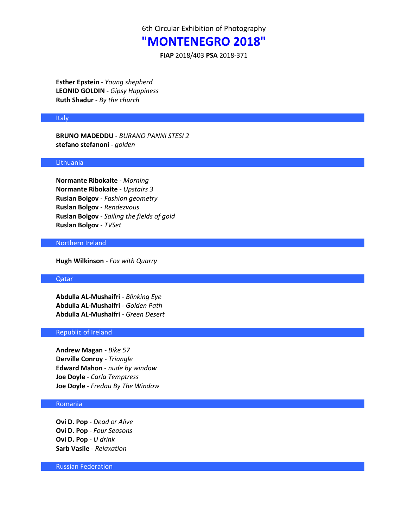# **"MONTENEGRO 2018"**

**FIAP** 2018/403 **PSA** 2018-371

**Esther Epstein** - *Young shepherd* **LEONID GOLDIN** - *Gipsy Happiness* **Ruth Shadur** - *By the church*

#### **Italy**

**BRUNO MADEDDU** - *BURANO PANNI STESI 2* **stefano stefanoni** - *golden*

## Lithuania

**Normante Ribokaite** - *Morning* **Normante Ribokaite** - *Upstairs 3* **Ruslan Bolgov** - *Fashion geometry* **Ruslan Bolgov** - *Rendezvous* **Ruslan Bolgov** - *Sailing the fields of gold* **Ruslan Bolgov** - *TVSet*

## Northern Ireland

**Hugh Wilkinson** - *Fox with Quarry*

#### Qatar

**Abdulla AL-Mushaifri** - *Blinking Eye* **Abdulla AL-Mushaifri** - *Golden Path* **Abdulla AL-Mushaifri** - *Green Desert*

### Republic of Ireland

**Andrew Magan** - *Bike 57* **Derville Conroy** - *Triangle* **Edward Mahon** - *nude by window* **Joe Doyle** - *Carla Temptress* **Joe Doyle** - *Fredau By The Window*

### Romania

**Ovi D. Pop** - *Dead or Alive* **Ovi D. Pop** - *Four Seasons* **Ovi D. Pop** - *U drink* **Sarb Vasile** - *Relaxation*

Russian Federation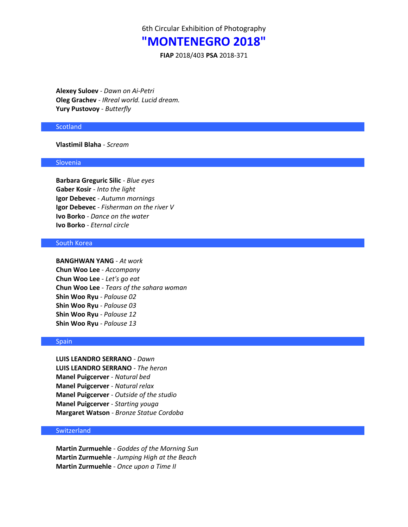## **"MONTENEGRO 2018"**

**FIAP** 2018/403 **PSA** 2018-371

**Alexey Suloev** - *Dawn on Ai-Petri* **Oleg Grachev** - *IRreal world. Lucid dream.* **Yury Pustovoy** - *Butterfly*

## **Scotland**

### **Vlastimil Blaha** - *Scream*

## Slovenia

**Barbara Greguric Silic** - *Blue eyes* **Gaber Kosir** - *Into the light* **Igor Debevec** - *Autumn mornings* **Igor Debevec** - *Fisherman on the river V* **Ivo Borko** - *Dance on the water* **Ivo Borko** - *Eternal circle*

### South Korea

**BANGHWAN YANG** - *At work* **Chun Woo Lee** - *Accompany* **Chun Woo Lee** - *Let's go eat* **Chun Woo Lee** - *Tears of the sahara woman* **Shin Woo Ryu** - *Palouse 02* **Shin Woo Ryu** - *Palouse 03* **Shin Woo Ryu** - *Palouse 12* **Shin Woo Ryu** - *Palouse 13*

## Spain

**LUIS LEANDRO SERRANO** - *Dawn* **LUIS LEANDRO SERRANO** - *The heron* **Manel Puigcerver** - *Natural bed* **Manel Puigcerver** - *Natural relax* **Manel Puigcerver** - *Outside of the studio* **Manel Puigcerver** - *Starting youga* **Margaret Watson** - *Bronze Statue Cordoba*

## **Switzerland**

**Martin Zurmuehle** - *Goddes of the Morning Sun* **Martin Zurmuehle** - *Jumping High at the Beach* **Martin Zurmuehle** - *Once upon a Time II*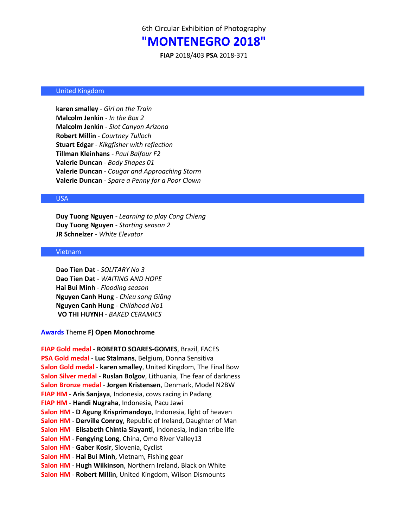## **"MONTENEGRO 2018"**

**FIAP** 2018/403 **PSA** 2018-371

#### United Kingdom

**karen smalley** - *Girl on the Train* **Malcolm Jenkin** - *In the Box 2* **Malcolm Jenkin** - *Slot Canyon Arizona* **Robert Millin** - *Courtney Tulloch* **Stuart Edgar** - *Kikgfisher with reflection* **Tillman Kleinhans** - *Paul Balfour F2* **Valerie Duncan** - *Body Shapes 01* **Valerie Duncan** - *Cougar and Approaching Storm* **Valerie Duncan** - *Spare a Penny for a Poor Clown*

### USA

**Duy Tuong Nguyen** - *Learning to play Cong Chieng* **Duy Tuong Nguyen** - *Starting season 2* **JR Schnelzer** - *White Elevator*

## Vietnam

**Dao Tien Dat** - *SOLITARY No 3* **Dao Tien Dat** - *WAITING AND HOPE* **Hai Bui Minh** - *Flooding season* **Nguyen Canh Hung** - *Chieu song Giăng* **Nguyen Canh Hung** - *Childhood No1* **VO THI HUYNH** - *BAKED CERAMICS*

**Awards** Theme **F) Open Monochrome**

**FIAP Gold medal** - **ROBERTO SOARES-GOMES**, Brazil, FACES **PSA Gold medal** - **Luc Stalmans**, Belgium, Donna Sensitiva **Salon Gold medal** - **karen smalley**, United Kingdom, The Final Bow **Salon Silver medal** - **Ruslan Bolgov**, Lithuania, The fear of darkness **Salon Bronze medal** - **Jorgen Kristensen**, Denmark, Model N2BW **FIAP HM** - **Aris Sanjaya**, Indonesia, cows racing in Padang **FIAP HM** - **Handi Nugraha**, Indonesia, Pacu Jawi **Salon HM** - **D Agung Krisprimandoyo**, Indonesia, light of heaven **Salon HM** - **Derville Conroy**, Republic of Ireland, Daughter of Man **Salon HM** - **Elisabeth Chintia Siayanti**, Indonesia, Indian tribe life **Salon HM** - **Fengying Long**, China, Omo River Valley13 **Salon HM** - **Gaber Kosir**, Slovenia, Cyclist **Salon HM** - **Hai Bui Minh**, Vietnam, Fishing gear **Salon HM** - **Hugh Wilkinson**, Northern Ireland, Black on White **Salon HM** - **Robert Millin**, United Kingdom, Wilson Dismounts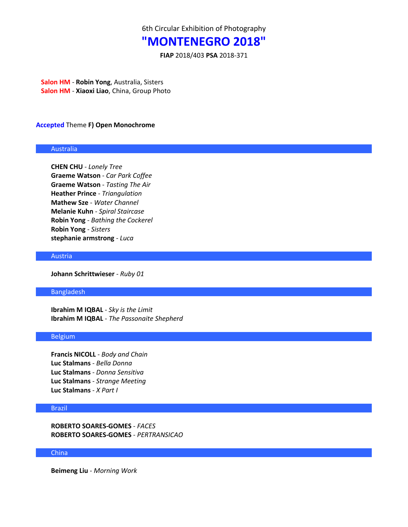# **"MONTENEGRO 2018"**

**FIAP** 2018/403 **PSA** 2018-371

**Salon HM** - **Robin Yong**, Australia, Sisters **Salon HM** - **Xiaoxi Liao**, China, Group Photo

#### **Accepted** Theme **F) Open Monochrome**

#### Australia

**CHEN CHU** - *Lonely Tree* **Graeme Watson** - *Car Park Coffee* **Graeme Watson** - *Tasting The Air* **Heather Prince** - *Triangulation* **Mathew Sze** - *Water Channel* **Melanie Kuhn** - *Spiral Staircase* **Robin Yong** - *Bathing the Cockerel* **Robin Yong** - *Sisters* **stephanie armstrong** - *Luca*

#### Austria

**Johann Schrittwieser** - *Ruby 01*

#### Bangladesh

**Ibrahim M IQBAL** - *Sky is the Limit* **Ibrahim M IQBAL** - *The Passonaite Shepherd*

## Belgium

**Francis NICOLL** - *Body and Chain* **Luc Stalmans** - *Bella Donna* **Luc Stalmans** - *Donna Sensitiva* **Luc Stalmans** - *Strange Meeting* **Luc Stalmans** - *X Part I*

## Brazil

**ROBERTO SOARES-GOMES** - *FACES* **ROBERTO SOARES-GOMES** - *PERTRANSICAO*

#### China

**Beimeng Liu** - *Morning Work*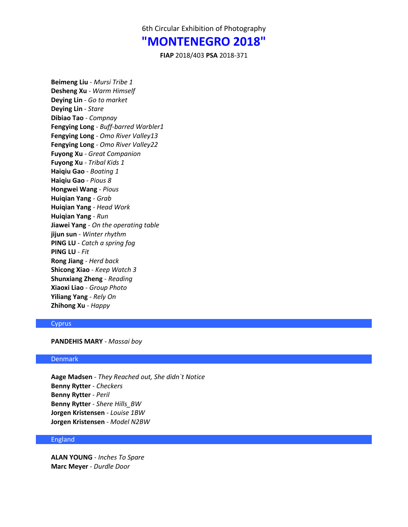## **"MONTENEGRO 2018"**

**FIAP** 2018/403 **PSA** 2018-371

**Beimeng Liu** - *Mursi Tribe 1* **Desheng Xu** - *Warm Himself* **Deying Lin** - *Go to market* **Deying Lin** - *Stare* **Dibiao Tao** - *Compnay* **Fengying Long** - *Buff-barred Warbler1* **Fengying Long** - *Omo River Valley13* **Fengying Long** - *Omo River Valley22* **Fuyong Xu** - *Great Companion* **Fuyong Xu** - *Tribal Kids 1* **Haiqiu Gao** - *Boating 1* **Haiqiu Gao** - *Pious 8* **Hongwei Wang** - *Pious* **Huiqian Yang** - *Grab* **Huiqian Yang** - *Head Work* **Huiqian Yang** - *Run* **Jiawei Yang** - *On the operating table* **jijun sun** - *Winter rhythm* **PING LU** - *Catch a spring fog* **PING LU** - *Fit* **Rong Jiang** - *Herd back* **Shicong Xiao** - *Keep Watch 3* **Shunxiang Zheng** - *Reading* **Xiaoxi Liao** - *Group Photo* **Yiliang Yang** - *Rely On* **Zhihong Xu** - *Happy*

## **Cyprus**

**PANDEHIS MARY** - *Massai boy*

## Denmark

**Aage Madsen** - *They Reached out, She didn`t Notice* **Benny Rytter** - *Checkers* **Benny Rytter** - *Peril* **Benny Rytter** - *Shere Hills\_BW* **Jorgen Kristensen** - *Louise 1BW* **Jorgen Kristensen** - *Model N2BW*

### England

**ALAN YOUNG** - *Inches To Spare* **Marc Meyer** - *Durdle Door*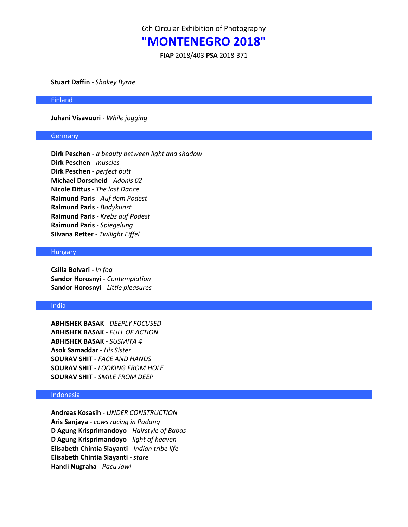## **"MONTENEGRO 2018"**

**FIAP** 2018/403 **PSA** 2018-371

**Stuart Daffin** - *Shakey Byrne*

#### Finland

**Juhani Visavuori** - *While jogging*

#### **Germany**

**Dirk Peschen** - *a beauty between light and shadow* **Dirk Peschen** - *muscles* **Dirk Peschen** - *perfect butt* **Michael Dorscheid** - *Adonis 02* **Nicole Dittus** - *The last Dance* **Raimund Paris** - *Auf dem Podest* **Raimund Paris** - *Bodykunst* **Raimund Paris** - *Krebs auf Podest* **Raimund Paris** - *Spiegelung* **Silvana Retter** - *Twilight Eiffel*

## Hungary

**Csilla Bolvari** - *In fog* **Sandor Horosnyi** - *Contemplation* **Sandor Horosnyi** - *Little pleasures*

#### India

**ABHISHEK BASAK** - *DEEPLY FOCUSED* **ABHISHEK BASAK** - *FULL OF ACTION* **ABHISHEK BASAK** - *SUSMITA 4* **Asok Samaddar** - *His Sister* **SOURAV SHIT** - *FACE AND HANDS* **SOURAV SHIT** - *LOOKING FROM HOLE* **SOURAV SHIT** - *SMILE FROM DEEP*

## Indonesia

**Andreas Kosasih** - *UNDER CONSTRUCTION* **Aris Sanjaya** - *cows racing in Padang* **D Agung Krisprimandoyo** - *Hairstyle of Babas* **D Agung Krisprimandoyo** - *light of heaven* **Elisabeth Chintia Siayanti** - *Indian tribe life* **Elisabeth Chintia Siayanti** - *stare* **Handi Nugraha** - *Pacu Jawi*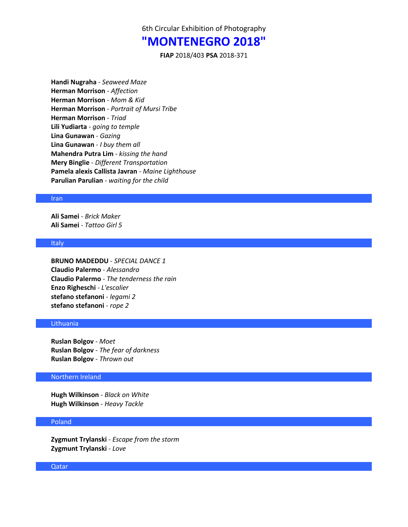# **"MONTENEGRO 2018"**

**FIAP** 2018/403 **PSA** 2018-371

**Handi Nugraha** - *Seaweed Maze* **Herman Morrison** - *Affection* **Herman Morrison** - *Mom & Kid* **Herman Morrison** - *Portrait of Mursi Tribe* **Herman Morrison** - *Triad* **Lili Yudiarta** - *going to temple* **Lina Gunawan** - *Gazing* **Lina Gunawan** - *I buy them all* **Mahendra Putra Lim** - *kissing the hand* **Mery Binglie** - *Different Transportation* **Pamela alexis Callista Javran** - *Maine Lighthouse* **Parulian Parulian** - *waiting for the child*

#### Iran

**Ali Samei** - *Brick Maker* **Ali Samei** - *Tattoo Girl 5*

### Italy

**BRUNO MADEDDU** - *SPECIAL DANCE 1* **Claudio Palermo** - *Alessandra* **Claudio Palermo** - *The tenderness the rain* **Enzo Righeschi** - *L'escalier* **stefano stefanoni** - *legami 2* **stefano stefanoni** - *rope 2*

## Lithuania

**Ruslan Bolgov** - *Moet* **Ruslan Bolgov** - *The fear of darkness* **Ruslan Bolgov** - *Thrown out*

### Northern Ireland

**Hugh Wilkinson** - *Black on White* **Hugh Wilkinson** - *Heavy Tackle*

#### Poland

**Zygmunt Trylanski** - *Escape from the storm* **Zygmunt Trylanski** - *Love*

Qatar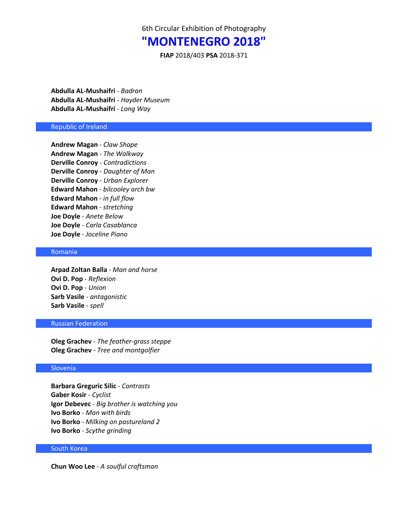# **"MONTENEGRO 2018"**

**FIAP** 2018/403 **PSA** 2018-371

**Abdulla AL-Mushaifri** - *Badran* **Abdulla AL-Mushaifri** - *Hayder Museum* **Abdulla AL-Mushaifri** - *Long Way*

## Republic of Ireland

**Andrew Magan** - *Claw Shape* **Andrew Magan** - *The Walkway* **Derville Conroy** - *Contradictions* **Derville Conroy** - *Daughter of Man* **Derville Conroy** - *Urban Explorer* **Edward Mahon** - *bilcooley arch bw* **Edward Mahon** - *in full flow* **Edward Mahon** - *stretching* **Joe Doyle** - *Anete Below* **Joe Doyle** - *Carla Casablanca* **Joe Doyle** - *Joceline Piano*

## Romania

**Arpad Zoltan Balla** - *Man and horse* **Ovi D. Pop** - *Reflexion* **Ovi D. Pop** - *Union* **Sarb Vasile** - *antagonistic* **Sarb Vasile** - *spell*

### Russian Federation

**Oleg Grachev** - *The feather-grass steppe* **Oleg Grachev** - *Tree and montgolfier*

#### Slovenia

**Barbara Greguric Silic** - *Contrasts* **Gaber Kosir** - *Cyclist* **Igor Debevec** - *Big brother is watching you* **Ivo Borko** - *Man with birds* **Ivo Borko** - *Milking on pastureland 2* **Ivo Borko** - *Scythe grinding*

### South Korea

**Chun Woo Lee** - *A soulful craftsman*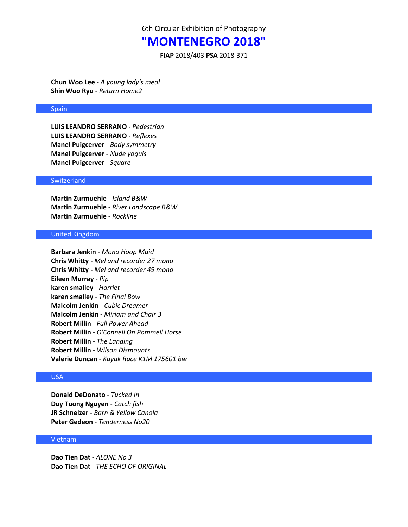# **"MONTENEGRO 2018"**

**FIAP** 2018/403 **PSA** 2018-371

**Chun Woo Lee** - *A young lady's meal* **Shin Woo Ryu** - *Return Home2*

### Spain

**LUIS LEANDRO SERRANO** - *Pedestrian* **LUIS LEANDRO SERRANO** - *Reflexes* **Manel Puigcerver** - *Body symmetry* **Manel Puigcerver** - *Nude yoguis* **Manel Puigcerver** - *Square*

#### **Switzerland**

**Martin Zurmuehle** - *Island B&W* **Martin Zurmuehle** - *River Landscape B&W* **Martin Zurmuehle** - *Rockline*

## United Kingdom

**Barbara Jenkin** - *Mono Hoop Maid* **Chris Whitty** - *Mel and recorder 27 mono* **Chris Whitty** - *Mel and recorder 49 mono* **Eileen Murray** - *Pip* **karen smalley** - *Harriet* **karen smalley** - *The Final Bow* **Malcolm Jenkin** - *Cubic Dreamer* **Malcolm Jenkin** - *Miriam and Chair 3* **Robert Millin** - *Full Power Ahead* **Robert Millin** - *O'Connell On Pommell Horse* **Robert Millin** - *The Landing* **Robert Millin** - *Wilson Dismounts* **Valerie Duncan** - *Kayak Race K1M 175601 bw*

## USA

**Donald DeDonato** - *Tucked In* **Duy Tuong Nguyen** - *Catch fish* **JR Schnelzer** - *Barn & Yellow Canola* **Peter Gedeon** - *Tenderness No20*

## Vietnam

**Dao Tien Dat** - *ALONE No 3* **Dao Tien Dat** - *THE ECHO OF ORIGINAL*